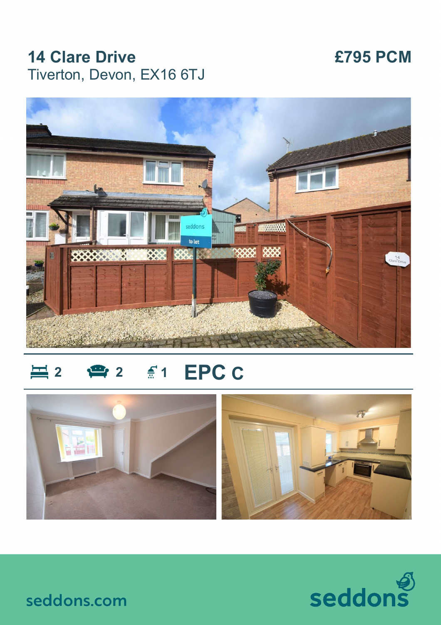## **14 Clare Drive £795 PCM** Tiverton, Devon, EX16 6TJ



# **三** 2 ● 2 € 1 EPC C





seddons.com